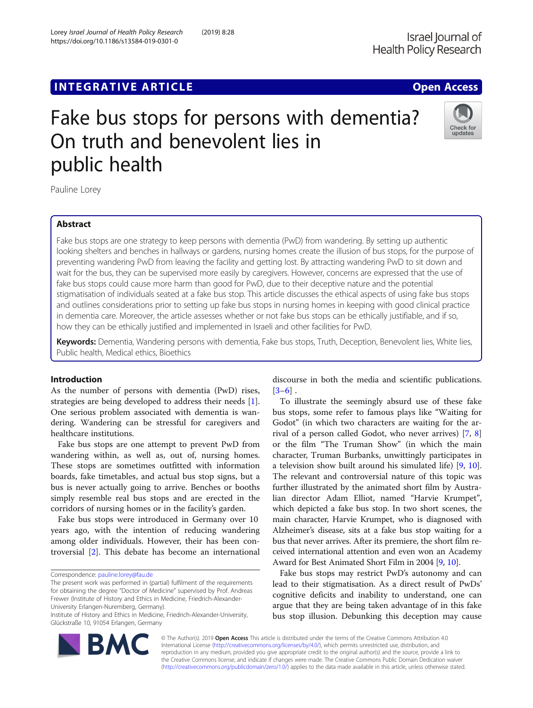## **INTEGRATIVE ARTICLE Example 20 and 20 and 20 and 20 and 20 and 20 and 20 and 20 and 20 and 20 and 20 and 20 and 20 and 20 and 20 and 20 and 20 and 20 and 20 and 20 and 20 and 20 and 20 and 20 and 20 and 20 and 20 and 20**

# Fake bus stops for persons with dementia? On truth and benevolent lies in public health



Pauline Lorey

## Abstract

Fake bus stops are one strategy to keep persons with dementia (PwD) from wandering. By setting up authentic looking shelters and benches in hallways or gardens, nursing homes create the illusion of bus stops, for the purpose of preventing wandering PwD from leaving the facility and getting lost. By attracting wandering PwD to sit down and wait for the bus, they can be supervised more easily by caregivers. However, concerns are expressed that the use of fake bus stops could cause more harm than good for PwD, due to their deceptive nature and the potential stigmatisation of individuals seated at a fake bus stop. This article discusses the ethical aspects of using fake bus stops and outlines considerations prior to setting up fake bus stops in nursing homes in keeping with good clinical practice in dementia care. Moreover, the article assesses whether or not fake bus stops can be ethically justifiable, and if so, how they can be ethically justified and implemented in Israeli and other facilities for PwD.

Keywords: Dementia, Wandering persons with dementia, Fake bus stops, Truth, Deception, Benevolent lies, White lies, Public health, Medical ethics, Bioethics

## Introduction

As the number of persons with dementia (PwD) rises, strategies are being developed to address their needs [\[1](#page-5-0)]. One serious problem associated with dementia is wandering. Wandering can be stressful for caregivers and healthcare institutions.

Fake bus stops are one attempt to prevent PwD from wandering within, as well as, out of, nursing homes. These stops are sometimes outfitted with information boards, fake timetables, and actual bus stop signs, but a bus is never actually going to arrive. Benches or booths simply resemble real bus stops and are erected in the corridors of nursing homes or in the facility's garden.

Fake bus stops were introduced in Germany over 10 years ago, with the intention of reducing wandering among older individuals. However, their has been controversial [\[2\]](#page-5-0). This debate has become an international

Correspondence: [pauline.lorey@fau.de](mailto:pauline.lorey@fau.de)

Institute of History and Ethics in Medicine, Friedrich-Alexander-University, Glückstraße 10, 91054 Erlangen, Germany

discourse in both the media and scientific publications.  $[3-6]$  $[3-6]$  $[3-6]$  $[3-6]$ .

To illustrate the seemingly absurd use of these fake bus stops, some refer to famous plays like "Waiting for Godot" (in which two characters are waiting for the arrival of a person called Godot, who never arrives) [[7,](#page-5-0) [8](#page-5-0)] or the film "The Truman Show" (in which the main character, Truman Burbanks, unwittingly participates in a television show built around his simulated life) [\[9,](#page-5-0) [10](#page-5-0)]. The relevant and controversial nature of this topic was further illustrated by the animated short film by Australian director Adam Elliot, named "Harvie Krumpet", which depicted a fake bus stop. In two short scenes, the main character, Harvie Krumpet, who is diagnosed with Alzheimer's disease, sits at a fake bus stop waiting for a bus that never arrives. After its premiere, the short film received international attention and even won an Academy Award for Best Animated Short Film in 2004 [\[9](#page-5-0), [10](#page-5-0)].

Fake bus stops may restrict PwD's autonomy and can lead to their stigmatisation. As a direct result of PwDs' cognitive deficits and inability to understand, one can argue that they are being taken advantage of in this fake bus stop illusion. Debunking this deception may cause



© The Author(s). 2019 Open Access This article is distributed under the terms of the Creative Commons Attribution 4.0 International License [\(http://creativecommons.org/licenses/by/4.0/](http://creativecommons.org/licenses/by/4.0/)), which permits unrestricted use, distribution, and reproduction in any medium, provided you give appropriate credit to the original author(s) and the source, provide a link to the Creative Commons license, and indicate if changes were made. The Creative Commons Public Domain Dedication waiver [\(http://creativecommons.org/publicdomain/zero/1.0/](http://creativecommons.org/publicdomain/zero/1.0/)) applies to the data made available in this article, unless otherwise stated.

The present work was performed in (partial) fulfilment of the requirements for obtaining the degree "Doctor of Medicine" supervised by Prof. Andreas Frewer (Institute of History and Ethics in Medicine, Friedrich-Alexander-University Erlangen-Nuremberg, Germany).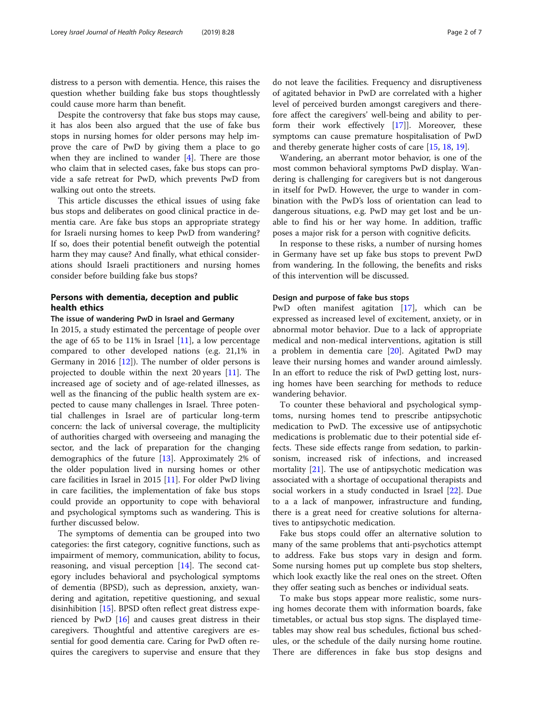distress to a person with dementia. Hence, this raises the question whether building fake bus stops thoughtlessly could cause more harm than benefit.

Despite the controversy that fake bus stops may cause, it has alos been also argued that the use of fake bus stops in nursing homes for older persons may help improve the care of PwD by giving them a place to go when they are inclined to wander [[4\]](#page-5-0). There are those who claim that in selected cases, fake bus stops can provide a safe retreat for PwD, which prevents PwD from walking out onto the streets.

This article discusses the ethical issues of using fake bus stops and deliberates on good clinical practice in dementia care. Are fake bus stops an appropriate strategy for Israeli nursing homes to keep PwD from wandering? If so, does their potential benefit outweigh the potential harm they may cause? And finally, what ethical considerations should Israeli practitioners and nursing homes consider before building fake bus stops?

## Persons with dementia, deception and public health ethics

### The issue of wandering PwD in Israel and Germany

In 2015, a study estimated the percentage of people over the age of 65 to be  $11\%$  in Israel  $[11]$  $[11]$ , a low percentage compared to other developed nations (e.g. 21,1% in Germany in 2016 [[12\]](#page-5-0)). The number of older persons is projected to double within the next 20 years [[11\]](#page-5-0). The increased age of society and of age-related illnesses, as well as the financing of the public health system are expected to cause many challenges in Israel. Three potential challenges in Israel are of particular long-term concern: the lack of universal coverage, the multiplicity of authorities charged with overseeing and managing the sector, and the lack of preparation for the changing demographics of the future [\[13\]](#page-5-0). Approximately 2% of the older population lived in nursing homes or other care facilities in Israel in 2015 [\[11](#page-5-0)]. For older PwD living in care facilities, the implementation of fake bus stops could provide an opportunity to cope with behavioral and psychological symptoms such as wandering. This is further discussed below.

The symptoms of dementia can be grouped into two categories: the first category, cognitive functions, such as impairment of memory, communication, ability to focus, reasoning, and visual perception [[14\]](#page-5-0). The second category includes behavioral and psychological symptoms of dementia (BPSD), such as depression, anxiety, wandering and agitation, repetitive questioning, and sexual disinhibition [\[15](#page-5-0)]. BPSD often reflect great distress experienced by PwD [\[16](#page-5-0)] and causes great distress in their caregivers. Thoughtful and attentive caregivers are essential for good dementia care. Caring for PwD often requires the caregivers to supervise and ensure that they

do not leave the facilities. Frequency and disruptiveness of agitated behavior in PwD are correlated with a higher level of perceived burden amongst caregivers and therefore affect the caregivers' well-being and ability to perform their work effectively [\[17](#page-5-0)]]. Moreover, these

and thereby generate higher costs of care [[15,](#page-5-0) [18](#page-5-0), [19](#page-5-0)]. Wandering, an aberrant motor behavior, is one of the most common behavioral symptoms PwD display. Wandering is challenging for caregivers but is not dangerous in itself for PwD. However, the urge to wander in combination with the PwD's loss of orientation can lead to dangerous situations, e.g. PwD may get lost and be unable to find his or her way home. In addition, traffic poses a major risk for a person with cognitive deficits.

symptoms can cause premature hospitalisation of PwD

In response to these risks, a number of nursing homes in Germany have set up fake bus stops to prevent PwD from wandering. In the following, the benefits and risks of this intervention will be discussed.

## Design and purpose of fake bus stops

PwD often manifest agitation [[17\]](#page-5-0), which can be expressed as increased level of excitement, anxiety, or in abnormal motor behavior. Due to a lack of appropriate medical and non-medical interventions, agitation is still a problem in dementia care [\[20\]](#page-5-0). Agitated PwD may leave their nursing homes and wander around aimlessly. In an effort to reduce the risk of PwD getting lost, nursing homes have been searching for methods to reduce wandering behavior.

To counter these behavioral and psychological symptoms, nursing homes tend to prescribe antipsychotic medication to PwD. The excessive use of antipsychotic medications is problematic due to their potential side effects. These side effects range from sedation, to parkinsonism, increased risk of infections, and increased mortality  $[21]$  $[21]$ . The use of antipsychotic medication was associated with a shortage of occupational therapists and social workers in a study conducted in Israel [[22](#page-6-0)]. Due to a a lack of manpower, infrastructure and funding, there is a great need for creative solutions for alternatives to antipsychotic medication.

Fake bus stops could offer an alternative solution to many of the same problems that anti-psychotics attempt to address. Fake bus stops vary in design and form. Some nursing homes put up complete bus stop shelters, which look exactly like the real ones on the street. Often they offer seating such as benches or individual seats.

To make bus stops appear more realistic, some nursing homes decorate them with information boards, fake timetables, or actual bus stop signs. The displayed timetables may show real bus schedules, fictional bus schedules, or the schedule of the daily nursing home routine. There are differences in fake bus stop designs and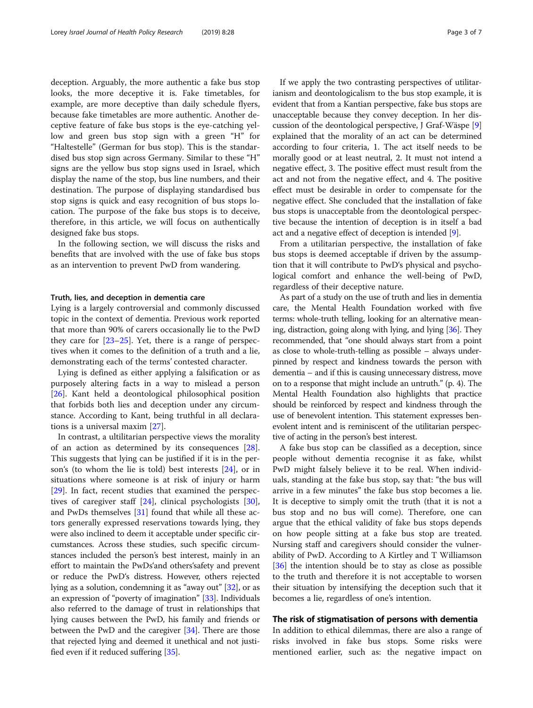deception. Arguably, the more authentic a fake bus stop looks, the more deceptive it is. Fake timetables, for example, are more deceptive than daily schedule flyers, because fake timetables are more authentic. Another deceptive feature of fake bus stops is the eye-catching yellow and green bus stop sign with a green "H" for "Haltestelle" (German for bus stop). This is the standardised bus stop sign across Germany. Similar to these "H" signs are the yellow bus stop signs used in Israel, which display the name of the stop, bus line numbers, and their destination. The purpose of displaying standardised bus stop signs is quick and easy recognition of bus stops location. The purpose of the fake bus stops is to deceive, therefore, in this article, we will focus on authentically designed fake bus stops.

In the following section, we will discuss the risks and benefits that are involved with the use of fake bus stops as an intervention to prevent PwD from wandering.

#### Truth, lies, and deception in dementia care

Lying is a largely controversial and commonly discussed topic in the context of dementia. Previous work reported that more than 90% of carers occasionally lie to the PwD they care for [\[23](#page-6-0)–[25\]](#page-6-0). Yet, there is a range of perspectives when it comes to the definition of a truth and a lie, demonstrating each of the terms' contested character.

Lying is defined as either applying a falsification or as purposely altering facts in a way to mislead a person [[26\]](#page-6-0). Kant held a deontological philosophical position that forbids both lies and deception under any circumstance. According to Kant, being truthful in all declarations is a universal maxim [\[27](#page-6-0)].

In contrast, a ultilitarian perspective views the morality of an action as determined by its consequences [\[28](#page-6-0)]. This suggests that lying can be justified if it is in the person's (to whom the lie is told) best interests [[24\]](#page-6-0), or in situations where someone is at risk of injury or harm [[29\]](#page-6-0). In fact, recent studies that examined the perspectives of caregiver staff [[24](#page-6-0)], clinical psychologists [\[30](#page-6-0)], and PwDs themselves [[31\]](#page-6-0) found that while all these actors generally expressed reservations towards lying, they were also inclined to deem it acceptable under specific circumstances. Across these studies, such specific circumstances included the person's best interest, mainly in an effort to maintain the PwDs'and others'safety and prevent or reduce the PwD's distress. However, others rejected lying as a solution, condemning it as "away out" [[32](#page-6-0)], or as an expression of "poverty of imagination" [\[33\]](#page-6-0). Individuals also referred to the damage of trust in relationships that lying causes between the PwD, his family and friends or between the PwD and the caregiver [\[34\]](#page-6-0). There are those that rejected lying and deemed it unethical and not justified even if it reduced suffering [\[35\]](#page-6-0).

If we apply the two contrasting perspectives of utilitarianism and deontologicalism to the bus stop example, it is evident that from a Kantian perspective, fake bus stops are unacceptable because they convey deception. In her discussion of the deontological perspective, J Graf-Wäspe [[9](#page-5-0)] explained that the morality of an act can be determined according to four criteria, 1. The act itself needs to be morally good or at least neutral, 2. It must not intend a negative effect, 3. The positive effect must result from the act and not from the negative effect, and 4. The positive effect must be desirable in order to compensate for the negative effect. She concluded that the installation of fake bus stops is unacceptable from the deontological perspective because the intention of deception is in itself a bad act and a negative effect of deception is intended [\[9\]](#page-5-0).

From a utilitarian perspective, the installation of fake bus stops is deemed acceptable if driven by the assumption that it will contribute to PwD's physical and psychological comfort and enhance the well-being of PwD, regardless of their deceptive nature.

As part of a study on the use of truth and lies in dementia care, the Mental Health Foundation worked with five terms: whole-truth telling, looking for an alternative meaning, distraction, going along with lying, and lying [\[36\]](#page-6-0). They recommended, that "one should always start from a point as close to whole-truth-telling as possible – always underpinned by respect and kindness towards the person with dementia – and if this is causing unnecessary distress, move on to a response that might include an untruth." (p. 4). The Mental Health Foundation also highlights that practice should be reinforced by respect and kindness through the use of benevolent intention. This statement expresses benevolent intent and is reminiscent of the utilitarian perspective of acting in the person's best interest.

A fake bus stop can be classified as a deception, since people without dementia recognise it as fake, whilst PwD might falsely believe it to be real. When individuals, standing at the fake bus stop, say that: "the bus will arrive in a few minutes" the fake bus stop becomes a lie. It is deceptive to simply omit the truth (that it is not a bus stop and no bus will come). Therefore, one can argue that the ethical validity of fake bus stops depends on how people sitting at a fake bus stop are treated. Nursing staff and caregivers should consider the vulnerability of PwD. According to A Kirtley and T Williamson [[36\]](#page-6-0) the intention should be to stay as close as possible to the truth and therefore it is not acceptable to worsen their situation by intensifying the deception such that it becomes a lie, regardless of one's intention.

#### The risk of stigmatisation of persons with dementia

In addition to ethical dilemmas, there are also a range of risks involved in fake bus stops. Some risks were mentioned earlier, such as: the negative impact on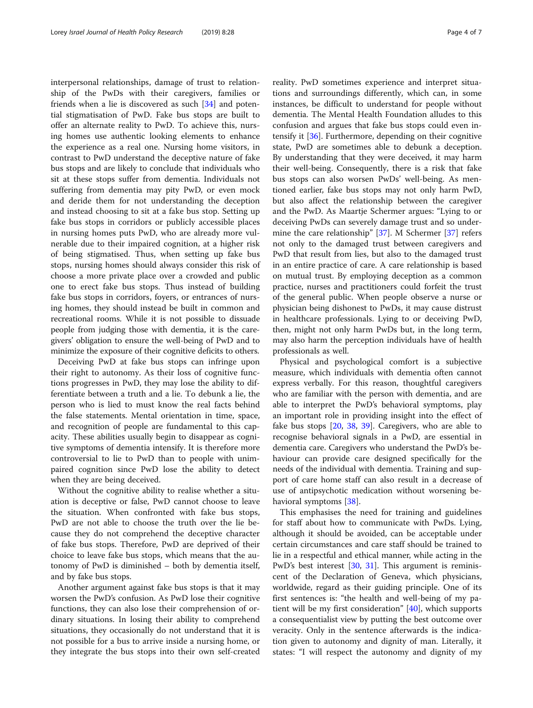interpersonal relationships, damage of trust to relationship of the PwDs with their caregivers, families or friends when a lie is discovered as such [[34](#page-6-0)] and potential stigmatisation of PwD. Fake bus stops are built to offer an alternate reality to PwD. To achieve this, nursing homes use authentic looking elements to enhance the experience as a real one. Nursing home visitors, in contrast to PwD understand the deceptive nature of fake bus stops and are likely to conclude that individuals who sit at these stops suffer from dementia. Individuals not suffering from dementia may pity PwD, or even mock and deride them for not understanding the deception and instead choosing to sit at a fake bus stop. Setting up fake bus stops in corridors or publicly accessible places in nursing homes puts PwD, who are already more vulnerable due to their impaired cognition, at a higher risk of being stigmatised. Thus, when setting up fake bus stops, nursing homes should always consider this risk of choose a more private place over a crowded and public one to erect fake bus stops. Thus instead of building fake bus stops in corridors, foyers, or entrances of nursing homes, they should instead be built in common and recreational rooms. While it is not possible to dissuade people from judging those with dementia, it is the caregivers' obligation to ensure the well-being of PwD and to minimize the exposure of their cognitive deficits to others.

Deceiving PwD at fake bus stops can infringe upon their right to autonomy. As their loss of cognitive functions progresses in PwD, they may lose the ability to differentiate between a truth and a lie. To debunk a lie, the person who is lied to must know the real facts behind the false statements. Mental orientation in time, space, and recognition of people are fundamental to this capacity. These abilities usually begin to disappear as cognitive symptoms of dementia intensify. It is therefore more controversial to lie to PwD than to people with unimpaired cognition since PwD lose the ability to detect when they are being deceived.

Without the cognitive ability to realise whether a situation is deceptive or false, PwD cannot choose to leave the situation. When confronted with fake bus stops, PwD are not able to choose the truth over the lie because they do not comprehend the deceptive character of fake bus stops. Therefore, PwD are deprived of their choice to leave fake bus stops, which means that the autonomy of PwD is diminished – both by dementia itself, and by fake bus stops.

Another argument against fake bus stops is that it may worsen the PwD's confusion. As PwD lose their cognitive functions, they can also lose their comprehension of ordinary situations. In losing their ability to comprehend situations, they occasionally do not understand that it is not possible for a bus to arrive inside a nursing home, or they integrate the bus stops into their own self-created reality. PwD sometimes experience and interpret situations and surroundings differently, which can, in some instances, be difficult to understand for people without dementia. The Mental Health Foundation alludes to this confusion and argues that fake bus stops could even intensify it [[36\]](#page-6-0). Furthermore, depending on their cognitive state, PwD are sometimes able to debunk a deception. By understanding that they were deceived, it may harm their well-being. Consequently, there is a risk that fake bus stops can also worsen PwDs' well-being. As mentioned earlier, fake bus stops may not only harm PwD, but also affect the relationship between the caregiver and the PwD. As Maartje Schermer argues: "Lying to or deceiving PwDs can severely damage trust and so undermine the care relationship" [\[37\]](#page-6-0). M Schermer [[37](#page-6-0)] refers not only to the damaged trust between caregivers and PwD that result from lies, but also to the damaged trust in an entire practice of care. A care relationship is based on mutual trust. By employing deception as a common practice, nurses and practitioners could forfeit the trust of the general public. When people observe a nurse or physician being dishonest to PwDs, it may cause distrust in healthcare professionals. Lying to or deceiving PwD, then, might not only harm PwDs but, in the long term, may also harm the perception individuals have of health professionals as well.

Physical and psychological comfort is a subjective measure, which individuals with dementia often cannot express verbally. For this reason, thoughtful caregivers who are familiar with the person with dementia, and are able to interpret the PwD's behavioral symptoms, play an important role in providing insight into the effect of fake bus stops [[20,](#page-5-0) [38,](#page-6-0) [39\]](#page-6-0). Caregivers, who are able to recognise behavioral signals in a PwD, are essential in dementia care. Caregivers who understand the PwD's behaviour can provide care designed specifically for the needs of the individual with dementia. Training and support of care home staff can also result in a decrease of use of antipsychotic medication without worsening behavioral symptoms [[38\]](#page-6-0).

This emphasises the need for training and guidelines for staff about how to communicate with PwDs. Lying, although it should be avoided, can be acceptable under certain circumstances and care staff should be trained to lie in a respectful and ethical manner, while acting in the PwD's best interest [\[30](#page-6-0), [31](#page-6-0)]. This argument is reminiscent of the Declaration of Geneva, which physicians, worldwide, regard as their guiding principle. One of its first sentences is: "the health and well-being of my patient will be my first consideration" [\[40](#page-6-0)], which supports a consequentialist view by putting the best outcome over veracity. Only in the sentence afterwards is the indication given to autonomy and dignity of man. Literally, it states: "I will respect the autonomy and dignity of my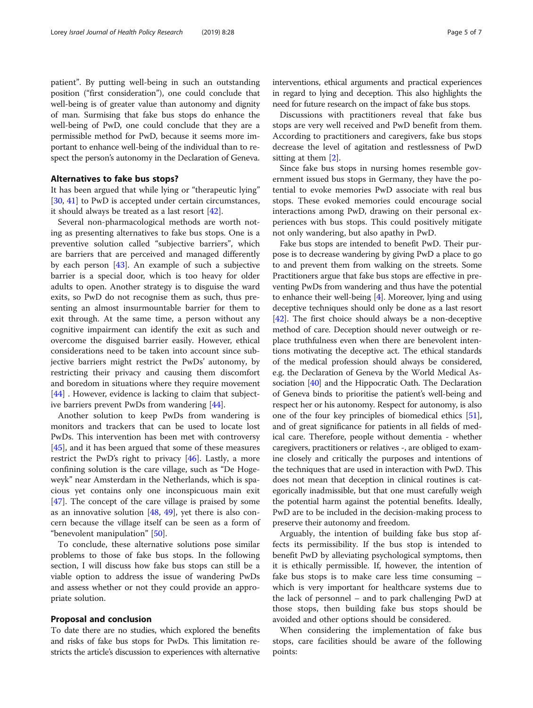patient". By putting well-being in such an outstanding position ("first consideration"), one could conclude that well-being is of greater value than autonomy and dignity of man. Surmising that fake bus stops do enhance the well-being of PwD, one could conclude that they are a permissible method for PwD, because it seems more important to enhance well-being of the individual than to respect the person's autonomy in the Declaration of Geneva.

## Alternatives to fake bus stops?

It has been argued that while lying or "therapeutic lying" [[30,](#page-6-0) [41\]](#page-6-0) to PwD is accepted under certain circumstances, it should always be treated as a last resort [\[42](#page-6-0)].

Several non-pharmacological methods are worth noting as presenting alternatives to fake bus stops. One is a preventive solution called "subjective barriers", which are barriers that are perceived and managed differently by each person [[43](#page-6-0)]. An example of such a subjective barrier is a special door, which is too heavy for older adults to open. Another strategy is to disguise the ward exits, so PwD do not recognise them as such, thus presenting an almost insurmountable barrier for them to exit through. At the same time, a person without any cognitive impairment can identify the exit as such and overcome the disguised barrier easily. However, ethical considerations need to be taken into account since subjective barriers might restrict the PwDs' autonomy, by restricting their privacy and causing them discomfort and boredom in situations where they require movement [[44\]](#page-6-0) . However, evidence is lacking to claim that subjective barriers prevent PwDs from wandering [[44\]](#page-6-0).

Another solution to keep PwDs from wandering is monitors and trackers that can be used to locate lost PwDs. This intervention has been met with controversy [[45\]](#page-6-0), and it has been argued that some of these measures restrict the PwD's right to privacy [[46\]](#page-6-0). Lastly, a more confining solution is the care village, such as "De Hogeweyk" near Amsterdam in the Netherlands, which is spacious yet contains only one inconspicuous main exit [[47\]](#page-6-0). The concept of the care village is praised by some as an innovative solution [[48,](#page-6-0) [49](#page-6-0)], yet there is also concern because the village itself can be seen as a form of "benevolent manipulation" [[50\]](#page-6-0).

To conclude, these alternative solutions pose similar problems to those of fake bus stops. In the following section, I will discuss how fake bus stops can still be a viable option to address the issue of wandering PwDs and assess whether or not they could provide an appropriate solution.

#### Proposal and conclusion

To date there are no studies, which explored the benefits and risks of fake bus stops for PwDs. This limitation restricts the article's discussion to experiences with alternative interventions, ethical arguments and practical experiences in regard to lying and deception. This also highlights the need for future research on the impact of fake bus stops.

Discussions with practitioners reveal that fake bus stops are very well received and PwD benefit from them. According to practitioners and caregivers, fake bus stops decrease the level of agitation and restlessness of PwD sitting at them [[2\]](#page-5-0).

Since fake bus stops in nursing homes resemble government issued bus stops in Germany, they have the potential to evoke memories PwD associate with real bus stops. These evoked memories could encourage social interactions among PwD, drawing on their personal experiences with bus stops. This could positively mitigate not only wandering, but also apathy in PwD.

Fake bus stops are intended to benefit PwD. Their purpose is to decrease wandering by giving PwD a place to go to and prevent them from walking on the streets. Some Practitioners argue that fake bus stops are effective in preventing PwDs from wandering and thus have the potential to enhance their well-being [[4\]](#page-5-0). Moreover, lying and using deceptive techniques should only be done as a last resort [[42](#page-6-0)]. The first choice should always be a non-deceptive method of care. Deception should never outweigh or replace truthfulness even when there are benevolent intentions motivating the deceptive act. The ethical standards of the medical profession should always be considered, e.g. the Declaration of Geneva by the World Medical Association [[40](#page-6-0)] and the Hippocratic Oath. The Declaration of Geneva binds to prioritise the patient's well-being and respect her or his autonomy. Respect for autonomy, is also one of the four key principles of biomedical ethics [[51](#page-6-0)], and of great significance for patients in all fields of medical care. Therefore, people without dementia - whether caregivers, practitioners or relatives -, are obliged to examine closely and critically the purposes and intentions of the techniques that are used in interaction with PwD. This does not mean that deception in clinical routines is categorically inadmissible, but that one must carefully weigh the potential harm against the potential benefits. Ideally, PwD are to be included in the decision-making process to preserve their autonomy and freedom.

Arguably, the intention of building fake bus stop affects its permissibility. If the bus stop is intended to benefit PwD by alleviating psychological symptoms, then it is ethically permissible. If, however, the intention of fake bus stops is to make care less time consuming – which is very important for healthcare systems due to the lack of personnel – and to park challenging PwD at those stops, then building fake bus stops should be avoided and other options should be considered.

When considering the implementation of fake bus stops, care facilities should be aware of the following points: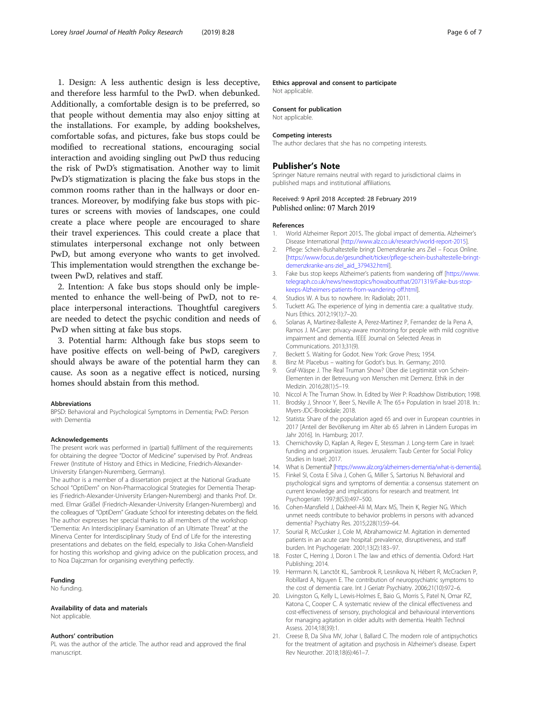<span id="page-5-0"></span>1. Design: A less authentic design is less deceptive, and therefore less harmful to the PwD. when debunked. Additionally, a comfortable design is to be preferred, so that people without dementia may also enjoy sitting at the installations. For example, by adding bookshelves, comfortable sofas, and pictures, fake bus stops could be modified to recreational stations, encouraging social interaction and avoiding singling out PwD thus reducing the risk of PwD's stigmatisation. Another way to limit PwD's stigmatization is placing the fake bus stops in the common rooms rather than in the hallways or door entrances. Moreover, by modifying fake bus stops with pictures or screens with movies of landscapes, one could create a place where people are encouraged to share their travel experiences. This could create a place that stimulates interpersonal exchange not only between PwD, but among everyone who wants to get involved. This implementation would strengthen the exchange between PwD, relatives and staff.

2. Intention: A fake bus stops should only be implemented to enhance the well-being of PwD, not to replace interpersonal interactions. Thoughtful caregivers are needed to detect the psychic condition and needs of PwD when sitting at fake bus stops.

3. Potential harm: Although fake bus stops seem to have positive effects on well-being of PwD, caregivers should always be aware of the potential harm they can cause. As soon as a negative effect is noticed, nursing homes should abstain from this method.

#### Abbreviations

BPSD: Behavioral and Psychological Symptoms in Dementia; PwD: Person with Dementia

#### Acknowledgements

The present work was performed in (partial) fulfilment of the requirements for obtaining the degree "Doctor of Medicine" supervised by Prof. Andreas Frewer (Institute of History and Ethics in Medicine, Friedrich-Alexander-University Erlangen-Nuremberg, Germany).

The author is a member of a dissertation project at the National Graduate School "OptiDem" on Non-Pharmacological Strategies for Dementia Therapies (Friedrich-Alexander-University Erlangen-Nuremberg) and thanks Prof. Dr. med. Elmar Gräßel (Friedrich-Alexander-University Erlangen-Nuremberg) and the colleagues of "OptiDem" Graduate School for interesting debates on the field. The author expresses her special thanks to all members of the workshop "Dementia: An Interdisciplinary Examination of an Ultimate Threat" at the Minerva Center for Interdisciplinary Study of End of Life for the interesting presentations and debates on the field, especially to Jiska Cohen-Mansfield for hosting this workshop and giving advice on the publication process, and to Noa Dajczman for organising everything perfectly.

#### Funding

No funding.

#### Availability of data and materials

Not applicable.

#### Authors' contribution

PL was the author of the article. The author read and approved the final manuscript.

Ethics approval and consent to participate

Not applicable.

#### Consent for publication

Not applicable.

#### Competing interests

The author declares that she has no competing interests.

#### Publisher's Note

Springer Nature remains neutral with regard to jurisdictional claims in published maps and institutional affiliations.

#### Received: 9 April 2018 Accepted: 28 February 2019 Published online: 07 March 2019

#### References

- 1. World Alzheimer Report 2015. The global impact of dementia. Alzheimer's Disease International [[http://www.alz.co.uk/research/world-report-2015\]](http://www.alz.co.uk/research/world-report-2015).
- 2. Pflege: Schein-Bushaltestelle bringt Demenzkranke ans Ziel Focus Online. [[https://www.focus.de/gesundheit/ticker/pflege-schein-bushaltestelle-bringt](https://www.focus.de/gesundheit/ticker/pflege-schein-bushaltestelle-bringt-demenzkranke-ans-ziel_aid_379432.html)[demenzkranke-ans-ziel\\_aid\\_379432.html\]](https://www.focus.de/gesundheit/ticker/pflege-schein-bushaltestelle-bringt-demenzkranke-ans-ziel_aid_379432.html).
- 3. Fake bus stop keeps Alzheimer's patients from wandering off [[https://www.](https://www.telegraph.co.uk/news/newstopics/howaboutthat/2071319/Fake-bus-stop-keeps-Alzheimers-patients-from-wandering-off.html) [telegraph.co.uk/news/newstopics/howaboutthat/2071319/Fake-bus-stop](https://www.telegraph.co.uk/news/newstopics/howaboutthat/2071319/Fake-bus-stop-keeps-Alzheimers-patients-from-wandering-off.html)[keeps-Alzheimers-patients-from-wandering-off.html\]](https://www.telegraph.co.uk/news/newstopics/howaboutthat/2071319/Fake-bus-stop-keeps-Alzheimers-patients-from-wandering-off.html).
- 4. Studios W. A bus to nowhere. In: Radiolab; 2011.
- 5. Tuckett AG. The experience of lying in dementia care: a qualitative study. Nurs Ethics. 2012;19(1):7–20.
- 6. Solanas A, Martinez-Balleste A, Perez-Martinez P, Fernandez de la Pena A, Ramos J. M-Carer: privacy-aware monitoring for people with mild cognitive impairment and dementia. IEEE Journal on Selected Areas in Communications. 2013;31(9).
- 7. Beckett S. Waiting for Godot. New York: Grove Press; 1954.
- 8. Binz M: Placebus waiting for Godot's bus. In. Germany; 2010.
- 9. Graf-Wäspe J. The Real Truman Show? Über die Legitimität von Schein-Elementen in der Betreuung von Menschen mit Demenz. Ethik in der Medizin. 2016;28(1):5–19.
- 10. Niccol A: The Truman Show. In. Edited by Weir P: Roadshow Distribution; 1998.
- 11. Brodsky J, Shnoor Y, Beer S, Neville A: The 65+ Population in Israel 2018. In.: Myers-JDC-Brookdale; 2018.
- 12. Statista: Share of the population aged 65 and over in European countries in 2017 [Anteil der Bevölkerung im Alter ab 65 Jahren in Ländern Europas im Jahr 2016]. In. Hamburg; 2017.
- 13. Chernichovsky D, Kaplan A, Regev E, Stessman J. Long-term Care in Israel: funding and organization issues. Jerusalem: Taub Center for Social Policy Studies in Israel; 2017.
- 14. What is Dementia? [<https://www.alz.org/alzheimers-dementia/what-is-dementia>].
- 15. Finkel SI, Costa E Silva J, Cohen G, Miller S, Sartorius N. Behavioral and psychological signs and symptoms of dementia: a consensus statement on current knowledge and implications for research and treatment. Int Psychogeriatr. 1997;8(S3):497–500.
- 16. Cohen-Mansfield J, Dakheel-Ali M, Marx MS, Thein K, Regier NG. Which unmet needs contribute to behavior problems in persons with advanced dementia? Psychiatry Res. 2015;228(1):59–64.
- 17. Sourial R, McCusker J, Cole M, Abrahamowicz M. Agitation in demented patients in an acute care hospital: prevalence, disruptiveness, and staff burden. Int Psychogeriatr. 2001;13(2):183–97.
- 18. Foster C, Herring J, Doron I. The law and ethics of dementia. Oxford: Hart Publishing; 2014.
- 19. Herrmann N, Lanctôt KL, Sambrook R, Lesnikova N, Hébert R, McCracken P, Robillard A, Nguyen E. The contribution of neuropsychiatric symptoms to the cost of dementia care. Int J Geriatr Psychiatry. 2006;21(10):972–6.
- 20. Livingston G, Kelly L, Lewis-Holmes E, Baio G, Morris S, Patel N, Omar RZ, Katona C, Cooper C. A systematic review of the clinical effectiveness and cost-effectiveness of sensory, psychological and behavioural interventions for managing agitation in older adults with dementia. Health Technol Assess. 2014;18(39):1.
- 21. Creese B, Da Silva MV, Johar I, Ballard C. The modern role of antipsychotics for the treatment of agitation and psychosis in Alzheimer's disease. Expert Rev Neurother. 2018;18(6):461–7.